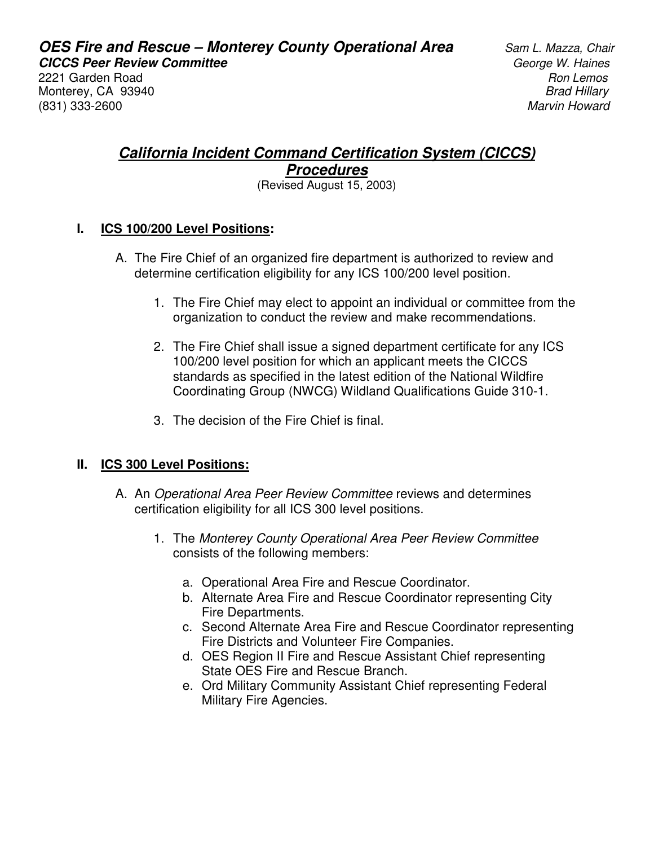2221 Garden Road **Roundal Roundal Roundal Roundal Roundal Roundal Roundal Roundal Roundal Roundal Roundal Roundal Roundal Roundal Roundal Roundal Roundal Roundal Roundal Roundal Roundal Roundal Roundal Roundal Roundal Roun** Monterey, CA 93940 Brad Hillary<br>
831) 833-2600 Brad Hillary (831) 833-2600 (831) 333-2600

# **California Incident Command Certification System (CICCS) Procedures**

(Revised August 15, 2003)

### **I. ICS 100/200 Level Positions:**

- A. The Fire Chief of an organized fire department is authorized to review and determine certification eligibility for any ICS 100/200 level position.
	- 1. The Fire Chief may elect to appoint an individual or committee from the organization to conduct the review and make recommendations.
	- 2. The Fire Chief shall issue a signed department certificate for any ICS 100/200 level position for which an applicant meets the CICCS standards as specified in the latest edition of the National Wildfire Coordinating Group (NWCG) Wildland Qualifications Guide 310-1.
	- 3. The decision of the Fire Chief is final.

### **II. ICS 300 Level Positions:**

- A. An Operational Area Peer Review Committee reviews and determines certification eligibility for all ICS 300 level positions.
	- 1. The Monterey County Operational Area Peer Review Committee consists of the following members:
		- a. Operational Area Fire and Rescue Coordinator.
		- b. Alternate Area Fire and Rescue Coordinator representing City Fire Departments.
		- c. Second Alternate Area Fire and Rescue Coordinator representing Fire Districts and Volunteer Fire Companies.
		- d. OES Region II Fire and Rescue Assistant Chief representing State OES Fire and Rescue Branch.
		- e. Ord Military Community Assistant Chief representing Federal Military Fire Agencies.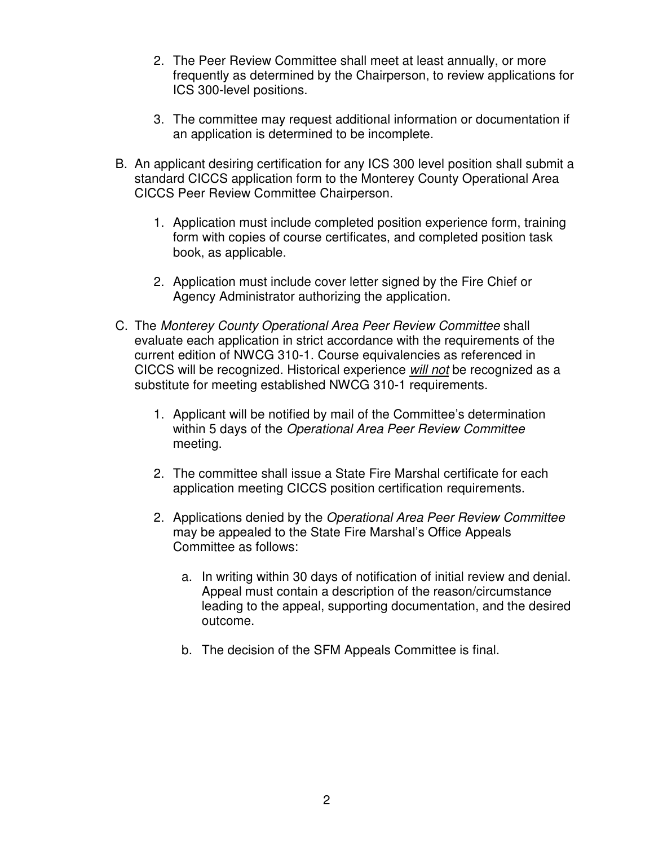- 2. The Peer Review Committee shall meet at least annually, or more frequently as determined by the Chairperson, to review applications for ICS 300-level positions.
- 3. The committee may request additional information or documentation if an application is determined to be incomplete.
- B. An applicant desiring certification for any ICS 300 level position shall submit a standard CICCS application form to the Monterey County Operational Area CICCS Peer Review Committee Chairperson.
	- 1. Application must include completed position experience form, training form with copies of course certificates, and completed position task book, as applicable.
	- 2. Application must include cover letter signed by the Fire Chief or Agency Administrator authorizing the application.
- C. The Monterey County Operational Area Peer Review Committee shall evaluate each application in strict accordance with the requirements of the current edition of NWCG 310-1. Course equivalencies as referenced in CICCS will be recognized. Historical experience will not be recognized as a substitute for meeting established NWCG 310-1 requirements.
	- 1. Applicant will be notified by mail of the Committee's determination within 5 days of the Operational Area Peer Review Committee meeting.
	- 2. The committee shall issue a State Fire Marshal certificate for each application meeting CICCS position certification requirements.
	- 2. Applications denied by the Operational Area Peer Review Committee may be appealed to the State Fire Marshal's Office Appeals Committee as follows:
		- a. In writing within 30 days of notification of initial review and denial. Appeal must contain a description of the reason/circumstance leading to the appeal, supporting documentation, and the desired outcome.
		- b. The decision of the SFM Appeals Committee is final.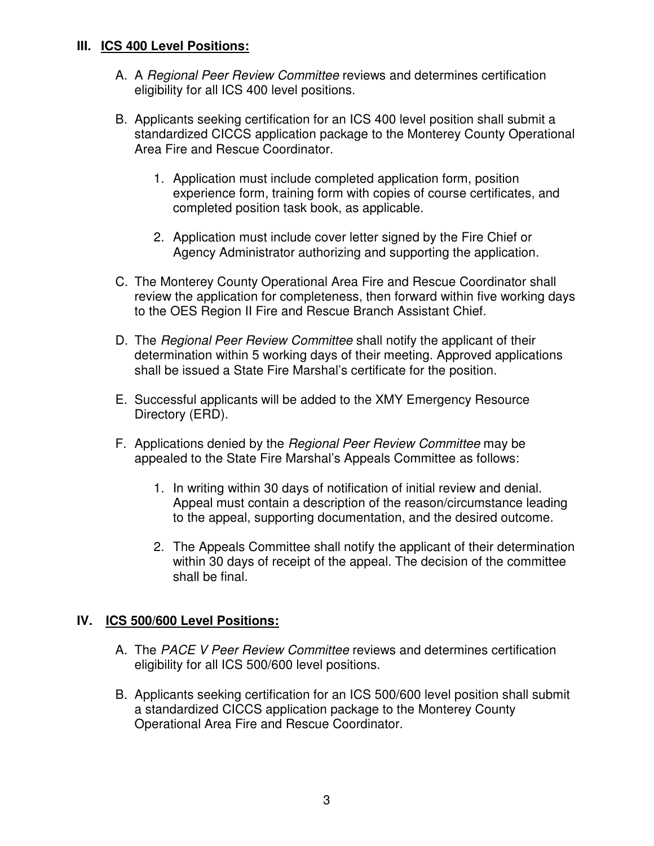### **III. ICS 400 Level Positions:**

- A. A Regional Peer Review Committee reviews and determines certification eligibility for all ICS 400 level positions.
- B. Applicants seeking certification for an ICS 400 level position shall submit a standardized CICCS application package to the Monterey County Operational Area Fire and Rescue Coordinator.
	- 1. Application must include completed application form, position experience form, training form with copies of course certificates, and completed position task book, as applicable.
	- 2. Application must include cover letter signed by the Fire Chief or Agency Administrator authorizing and supporting the application.
- C. The Monterey County Operational Area Fire and Rescue Coordinator shall review the application for completeness, then forward within five working days to the OES Region II Fire and Rescue Branch Assistant Chief.
- D. The Regional Peer Review Committee shall notify the applicant of their determination within 5 working days of their meeting. Approved applications shall be issued a State Fire Marshal's certificate for the position.
- E. Successful applicants will be added to the XMY Emergency Resource Directory (ERD).
- F. Applications denied by the Regional Peer Review Committee may be appealed to the State Fire Marshal's Appeals Committee as follows:
	- 1. In writing within 30 days of notification of initial review and denial. Appeal must contain a description of the reason/circumstance leading to the appeal, supporting documentation, and the desired outcome.
	- 2. The Appeals Committee shall notify the applicant of their determination within 30 days of receipt of the appeal. The decision of the committee shall be final.

## **IV. ICS 500/600 Level Positions:**

- A. The PACE V Peer Review Committee reviews and determines certification eligibility for all ICS 500/600 level positions.
- B. Applicants seeking certification for an ICS 500/600 level position shall submit a standardized CICCS application package to the Monterey County Operational Area Fire and Rescue Coordinator.